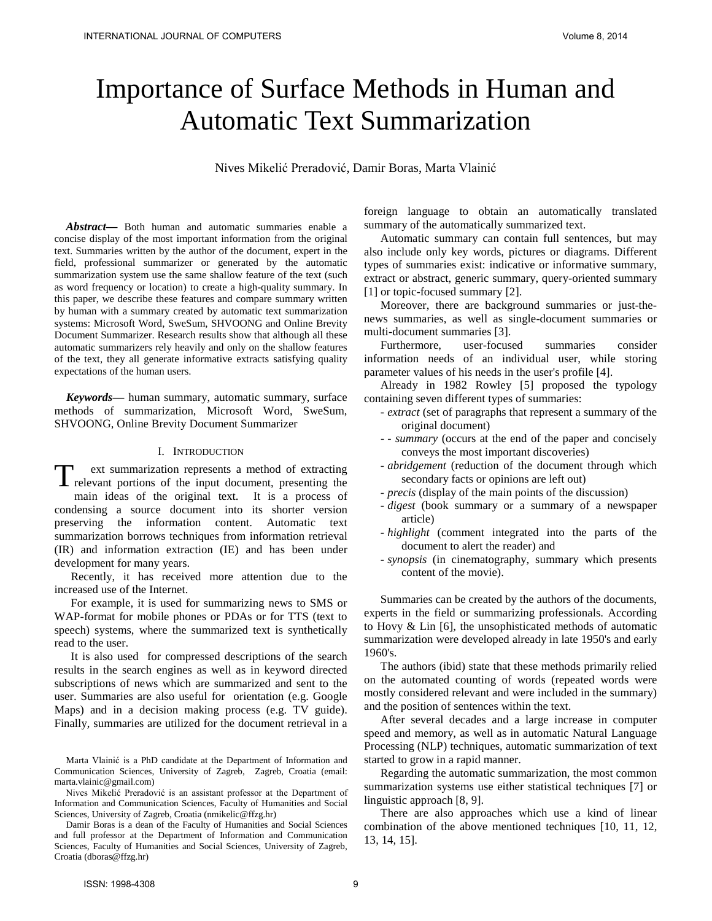# Importance of Surface Methods in Human and Automatic Text Summarization

Nives Mikelić Preradović, Damir Boras, Marta Vlainić

*Abstract***—** Both human and automatic summaries enable a concise display of the most important information from the original text. Summaries written by the author of the document, expert in the field, professional summarizer or generated by the automatic summarization system use the same shallow feature of the text (such as word frequency or location) to create a high-quality summary. In this paper, we describe these features and compare summary written by human with a summary created by automatic text summarization systems: Microsoft Word, SweSum, SHVOONG and Online Brevity Document Summarizer. Research results show that although all these automatic summarizers rely heavily and only on the shallow features of the text, they all generate informative extracts satisfying quality expectations of the human users.

*Keywords***—** human summary, automatic summary, surface methods of summarization, Microsoft Word, SweSum, SHVOONG, Online Brevity Document Summarizer

## I. INTRODUCTION

ext summarization represents a method of extracting T ext summarization represents a method of extracting<br>relevant portions of the input document, presenting the main ideas of the original text. It is a process of condensing a source document into its shorter version preserving the information content. Automatic text summarization borrows techniques from information retrieval (IR) and information extraction (IE) and has been under development for many years.

Recently, it has received more attention due to the increased use of the Internet.

For example, it is used for summarizing news to SMS or WAP-format for mobile phones or PDAs or for TTS (text to speech) systems, where the summarized text is synthetically read to the user.

It is also used for compressed descriptions of the search results in the search engines as well as in keyword directed subscriptions of news which are summarized and sent to the user. Summaries are also useful for orientation (e.g. Google Maps) and in a decision making process (e.g. TV guide). Finally, summaries are utilized for the document retrieval in a

Marta Vlainić is a PhD candidate at the Department of Information and Communication Sciences, University of Zagreb, Zagreb, Croatia (email: marta.vlainic@gmail.com)

Nives Mikelić Preradović is an assistant professor at the Department of Information and Communication Sciences, Faculty of Humanities and Social Sciences, University of Zagreb, Croatia (nmikelic@ffzg.hr)

Damir Boras is a dean of the Faculty of Humanities and Social Sciences and full professor at the Department of Information and Communication Sciences, Faculty of Humanities and Social Sciences, University of Zagreb, Croatia (dboras@ffzg.hr)

foreign language to obtain an automatically translated summary of the automatically summarized text.

Automatic summary can contain full sentences, but may also include only key words, pictures or diagrams. Different types of summaries exist: indicative or informative summary, extract or abstract, generic summary, query-oriented summary [1] or topic-focused summary [2].

Moreover, there are background summaries or just-thenews summaries, as well as single-document summaries or multi-document summaries [3].

Furthermore, user-focused summaries consider information needs of an individual user, while storing parameter values of his needs in the user's profile [4].

Already in 1982 Rowley [5] proposed the typology containing seven different types of summaries:

- *extract* (set of paragraphs that represent a summary of the original document)
- *summary* (occurs at the end of the paper and concisely conveys the most important discoveries)
- *abridgement* (reduction of the document through which secondary facts or opinions are left out)
- *precis* (display of the main points of the discussion)
- *digest* (book summary or a summary of a newspaper article)
- *highlight* (comment integrated into the parts of the document to alert the reader) and
- *synopsis* (in cinematography, summary which presents content of the movie).

Summaries can be created by the authors of the documents, experts in the field or summarizing professionals. According to Hovy & Lin [6], the unsophisticated methods of automatic summarization were developed already in late 1950's and early 1960's.

The authors (ibid) state that these methods primarily relied on the automated counting of words (repeated words were mostly considered relevant and were included in the summary) and the position of sentences within the text.

After several decades and a large increase in computer speed and memory, as well as in automatic Natural Language Processing (NLP) techniques, automatic summarization of text started to grow in a rapid manner.

Regarding the automatic summarization, the most common summarization systems use either statistical techniques [7] or linguistic approach [8, 9].

There are also approaches which use a kind of linear combination of the above mentioned techniques [10, 11, 12, 13, 14, 15].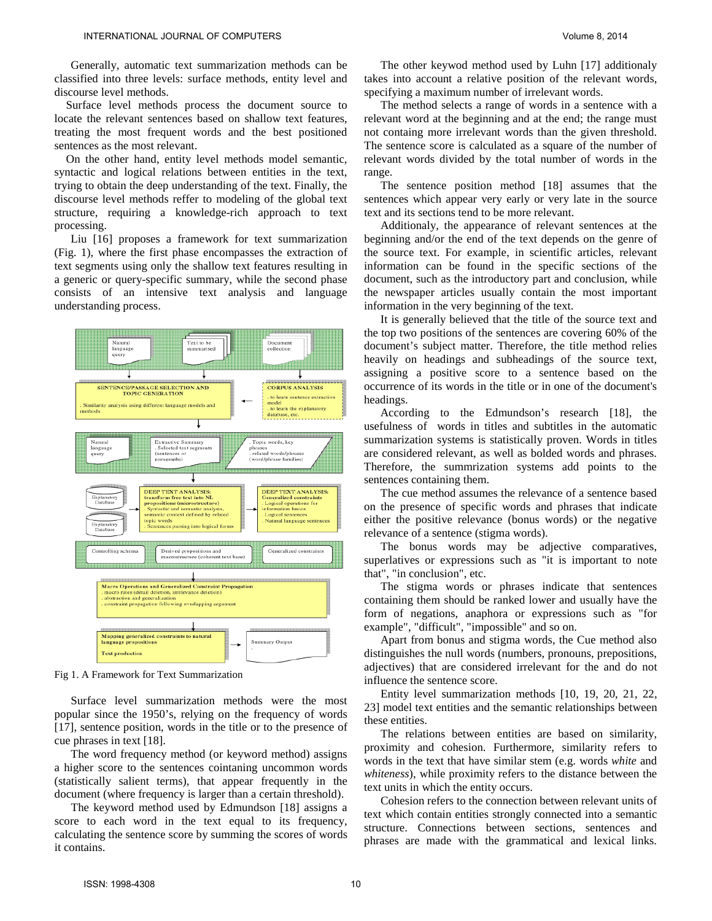Generally, automatic text summarization methods can be classified into three levels: surface methods, entity level and discourse level methods.

Surface level methods process the document source to locate the relevant sentences based on shallow text features, treating the most frequent words and the best positioned sentences as the most relevant.

On the other hand, entity level methods model semantic, syntactic and logical relations between entities in the text, trying to obtain the deep understanding of the text. Finally, the discourse level methods reffer to modeling of the global text structure, requiring a knowledge-rich approach to text processing.

Liu [16] proposes a framework for text summarization (Fig. 1), where the first phase encompasses the extraction of text segments using only the shallow text features resulting in a generic or query-specific summary, while the second phase consists of an intensive text analysis and language understanding process.



Fig 1. A Framework for Text Summarization

Surface level summarization methods were the most popular since the 1950's, relying on the frequency of words [17], sentence position, words in the title or to the presence of cue phrases in text [18].

The word frequency method (or keyword method) assigns a higher score to the sentences cointaning uncommon words (statistically salient terms), that appear frequently in the document (where frequency is larger than a certain threshold).

The keyword method used by Edmundson [18] assigns a score to each word in the text equal to its frequency, calculating the sentence score by summing the scores of words it contains.

The other keywod method used by Luhn [17] additionaly takes into account a relative position of the relevant words, specifying a maximum number of irrelevant words.

The method selects a range of words in a sentence with a relevant word at the beginning and at the end; the range must not containg more irrelevant words than the given threshold. The sentence score is calculated as a square of the number of relevant words divided by the total number of words in the range.

The sentence position method [18] assumes that the sentences which appear very early or very late in the source text and its sections tend to be more relevant.

Additionaly, the appearance of relevant sentences at the beginning and/or the end of the text depends on the genre of the source text. For example, in scientific articles, relevant information can be found in the specific sections of the document, such as the introductory part and conclusion, while the newspaper articles usually contain the most important information in the very beginning of the text.

It is generally believed that the title of the source text and the top two positions of the sentences are covering 60% of the document's subject matter. Therefore, the title method relies heavily on headings and subheadings of the source text, assigning a positive score to a sentence based on the occurrence of its words in the title or in one of the document's headings.

According to the Edmundson's research [18], the usefulness of words in titles and subtitles in the automatic summarization systems is statistically proven. Words in titles are considered relevant, as well as bolded words and phrases. Therefore, the summrization systems add points to the sentences containing them.

The cue method assumes the relevance of a sentence based on the presence of specific words and phrases that indicate either the positive relevance (bonus words) or the negative relevance of a sentence (stigma words).

The bonus words may be adjective comparatives, superlatives or expressions such as "it is important to note that", "in conclusion", etc.

The stigma words or phrases indicate that sentences containing them should be ranked lower and usually have the form of negations, anaphora or expressions such as "for example", "difficult", "impossible" and so on.

Apart from bonus and stigma words, the Cue method also distinguishes the null words (numbers, pronouns, prepositions, adjectives) that are considered irrelevant for the and do not influence the sentence score.

Entity level summarization methods [10, 19, 20, 21, 22, 23] model text entities and the semantic relationships between these entities.

The relations between entities are based on similarity, proximity and cohesion. Furthermore, similarity refers to words in the text that have similar stem (e.g. words *white* and *whiteness*), while proximity refers to the distance between the text units in which the entity occurs.

Cohesion refers to the connection between relevant units of text which contain entities strongly connected into a semantic structure. Connections between sections, sentences and phrases are made with the grammatical and lexical links.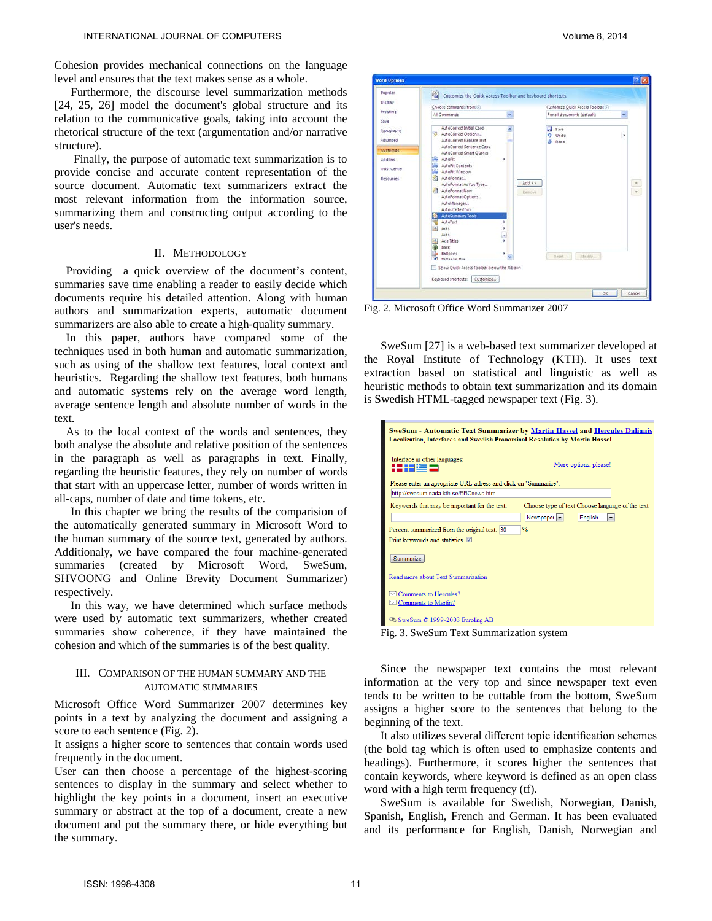Cohesion provides mechanical connections on the language level and ensures that the text makes sense as a whole.

Furthermore, the discourse level summarization methods [24, 25, 26] model the document's global structure and its relation to the communicative goals, taking into account the rhetorical structure of the text (argumentation and/or narrative structure).

Finally, the purpose of automatic text summarization is to provide concise and accurate content representation of the source document. Automatic text summarizers extract the most relevant information from the information source, summarizing them and constructing output according to the user's needs.

#### II. METHODOLOGY

Providing a quick overview of the document's content, summaries save time enabling a reader to easily decide which documents require his detailed attention. Along with human authors and summarization experts, automatic document summarizers are also able to create a high-quality summary.

In this paper, authors have compared some of the techniques used in both human and automatic summarization, such as using of the shallow text features, local context and heuristics. Regarding the shallow text features, both humans and automatic systems rely on the average word length, average sentence length and absolute number of words in the text.

As to the local context of the words and sentences, they both analyse the absolute and relative position of the sentences in the paragraph as well as paragraphs in text. Finally, regarding the heuristic features, they rely on number of words that start with an uppercase letter, number of words written in all-caps, number of date and time tokens, etc.

In this chapter we bring the results of the comparision of the automatically generated summary in Microsoft Word to the human summary of the source text, generated by authors. Additionaly, we have compared the four machine-generated summaries (created by Microsoft Word, SweSum, SHVOONG and Online Brevity Document Summarizer) respectively.

In this way, we have determined which surface methods were used by automatic text summarizers, whether created summaries show coherence, if they have maintained the cohesion and which of the summaries is of the best quality.

### III. COMPARISON OF THE HUMAN SUMMARY AND THE AUTOMATIC SUMMARIES

Microsoft Office Word Summarizer 2007 determines key points in a text by analyzing the document and assigning a score to each sentence (Fig. 2).

It assigns a higher score to sentences that contain words used frequently in the document.

User can then choose a percentage of the highest-scoring sentences to display in the summary and select whether to highlight the key points in a document, insert an executive summary or abstract at the top of a document, create a new document and put the summary there, or hide everything but the summary.



Fig. 2. Microsoft Office Word Summarizer 2007

SweSum [27] is a web-based text summarizer developed at the Royal Institute of Technology (KTH). It uses text extraction based on statistical and linguistic as well as heuristic methods to obtain text summarization and its domain is Swedish HTML-tagged newspaper text (Fig. 3).

| <b>SweSum - Automatic Text Summarizer by Martin Hassel and Hercules Dalianis</b><br><b>Localization, Interfaces and Swedish Pronominal Resolution by Martin Hassel</b> |                                                    |  |  |  |  |  |  |
|------------------------------------------------------------------------------------------------------------------------------------------------------------------------|----------------------------------------------------|--|--|--|--|--|--|
| Interface in other languages:<br>l ga isa                                                                                                                              | More options, please!                              |  |  |  |  |  |  |
| Please enter an apropriate URL adress and click on "Summarize".                                                                                                        |                                                    |  |  |  |  |  |  |
| http://swesum.nada.kth.se/BBCnews.htm                                                                                                                                  |                                                    |  |  |  |  |  |  |
| Keywords that may be important for the text.                                                                                                                           | Choose type of text Choose language of the text    |  |  |  |  |  |  |
|                                                                                                                                                                        | Newspaper -<br>English<br>$\overline{\phantom{a}}$ |  |  |  |  |  |  |
| Percent summarized from the original text: 30                                                                                                                          | $\frac{0}{0}$                                      |  |  |  |  |  |  |
| Print keywords and statistics V                                                                                                                                        |                                                    |  |  |  |  |  |  |
| Summarize                                                                                                                                                              |                                                    |  |  |  |  |  |  |
| Read more about Text Summarization                                                                                                                                     |                                                    |  |  |  |  |  |  |
| Comments to Hercules?                                                                                                                                                  |                                                    |  |  |  |  |  |  |
| $\boxtimes$ Comments to Martin?                                                                                                                                        |                                                    |  |  |  |  |  |  |
| C SweSum C 1999-2003 Euroling AB                                                                                                                                       |                                                    |  |  |  |  |  |  |
| ÷.<br>. .<br>$\sim$ $\sim$ $\sim$<br>$\sim$ $\sim$ $\sim$                                                                                                              |                                                    |  |  |  |  |  |  |

Fig. 3. SweSum Text Summarization system

Since the newspaper text contains the most relevant information at the very top and since newspaper text even tends to be written to be cuttable from the bottom, SweSum assigns a higher score to the sentences that belong to the beginning of the text.

It also utilizes several different topic identification schemes (the bold tag which is often used to emphasize contents and headings). Furthermore, it scores higher the sentences that contain keywords, where keyword is defined as an open class word with a high term frequency (tf).

SweSum is available for Swedish, Norwegian, Danish, Spanish, English, French and German. It has been evaluated and its performance for English, Danish, Norwegian and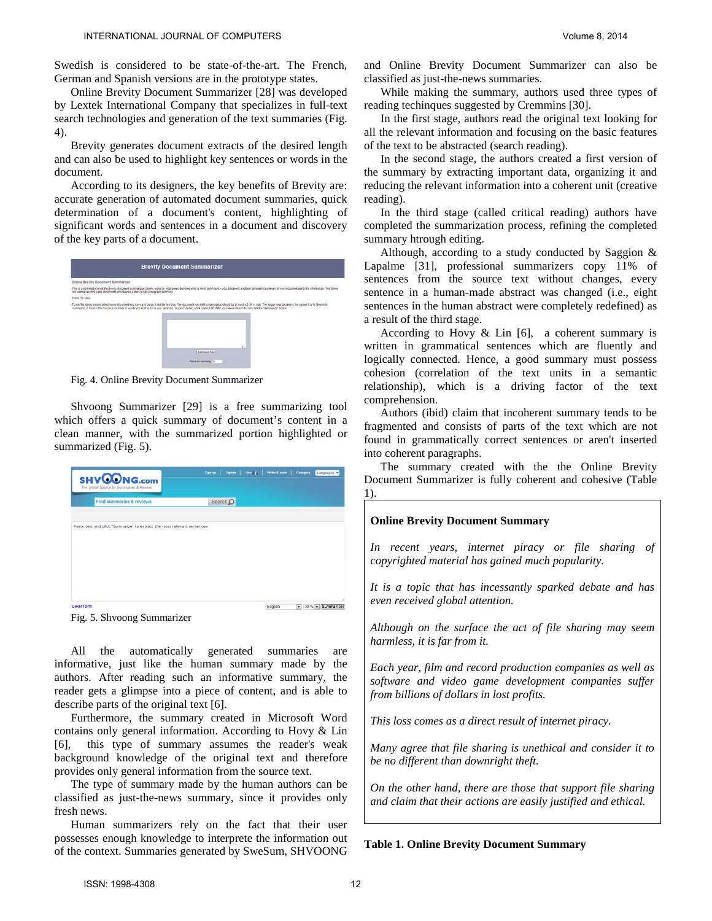Swedish is considered to be state-of-the-art. The French, German and Spanish versions are in the prototype states.

Online Brevity Document Summarizer [28] was developed by Lextek International Company that specializes in full-text search technologies and generation of the text summaries (Fig. 4).

Brevity generates document extracts of the desired length and can also be used to highlight key sentences or words in the document.

According to its designers, the key benefits of Brevity are: accurate generation of automated document summaries, quick determination of a document's content, highlighting of significant words and sentences in a document and discovery of the key parts of a document.



Fig. 4. Online Brevity Document Summarizer

Shvoong Summarizer [29] is a free summarizing tool which offers a quick summary of document's content in a clean manner, with the summarized portion highlighted or summarized (Fig. 5).

| <b>SHVOONG.com</b><br>The Global Source for Summaries & Reviews         | Sign up  | Sgn ts   Use +   Write & earn   Catagory | Languages |  |
|-------------------------------------------------------------------------|----------|------------------------------------------|-----------|--|
| Find summaries & reviews                                                | Search O |                                          |           |  |
|                                                                         |          |                                          |           |  |
| Paste text and click "Summarize" to extract the most relevant sentences |          |                                          |           |  |
|                                                                         |          |                                          |           |  |
|                                                                         |          |                                          |           |  |
|                                                                         |          |                                          |           |  |
|                                                                         |          |                                          |           |  |
|                                                                         |          |                                          |           |  |
|                                                                         |          |                                          |           |  |

Fig. 5. Shvoong Summarizer

All the automatically generated summaries are informative, just like the human summary made by the authors. After reading such an informative summary, the reader gets a glimpse into a piece of content, and is able to describe parts of the original text [6].

Furthermore, the summary created in Microsoft Word contains only general information. According to Hovy & Lin [6], this type of summary assumes the reader's weak background knowledge of the original text and therefore provides only general information from the source text.

The type of summary made by the human authors can be classified as just-the-news summary, since it provides only fresh news.

Human summarizers rely on the fact that their user possesses enough knowledge to interprete the information out of the context. Summaries generated by SweSum, SHVOONG and Online Brevity Document Summarizer can also be classified as just-the-news summaries.

While making the summary, authors used three types of reading techinques suggested by Cremmins [30].

In the first stage, authors read the original text looking for all the relevant information and focusing on the basic features of the text to be abstracted (search reading).

In the second stage, the authors created a first version of the summary by extracting important data, organizing it and reducing the relevant information into a coherent unit (creative reading).

In the third stage (called critical reading) authors have completed the summarization process, refining the completed summary htrough editing.

Although, according to a study conducted by Saggion & Lapalme [31], professional summarizers copy 11% of sentences from the source text without changes, every sentence in a human-made abstract was changed (i.e., eight sentences in the human abstract were completely redefined) as a result of the third stage.

According to Hovy  $\&$  Lin [6], a coherent summary is written in grammatical sentences which are fluently and logically connected. Hence, a good summary must possess cohesion (correlation of the text units in a semantic relationship), which is a driving factor of the text comprehension.

Authors (ibid) claim that incoherent summary tends to be fragmented and consists of parts of the text which are not found in grammatically correct sentences or aren't inserted into coherent paragraphs.

The summary created with the the Online Brevity Document Summarizer is fully coherent and cohesive (Table 1).

#### **Online Brevity Document Summary**

*In recent years, internet piracy or file sharing of copyrighted material has gained much popularity.* 

*It is a topic that has incessantly sparked debate and has even received global attention.* 

*Although on the surface the act of file sharing may seem harmless, it is far from it.* 

*Each year, film and record production companies as well as software and video game development companies suffer from billions of dollars in lost profits.* 

*This loss comes as a direct result of internet piracy.*

*Many agree that file sharing is unethical and consider it to be no different than downright theft.* 

*On the other hand, there are those that support file sharing and claim that their actions are easily justified and ethical.*

**Table 1. Online Brevity Document Summary**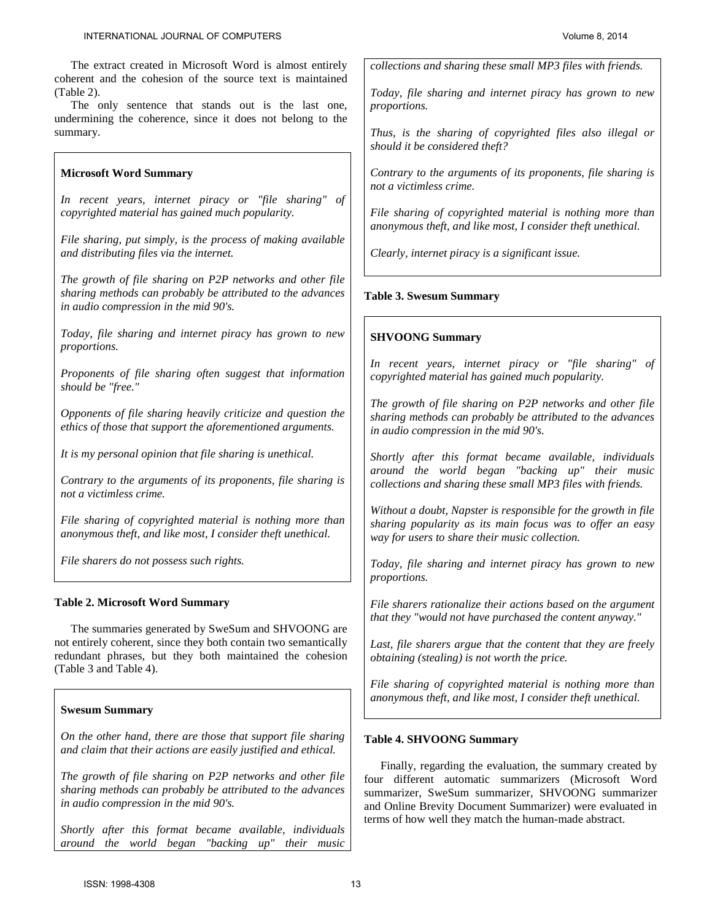The extract created in Microsoft Word is almost entirely coherent and the cohesion of the source text is maintained (Table 2).

The only sentence that stands out is the last one, undermining the coherence, since it does not belong to the summary.

## **Microsoft Word Summary**

*In recent years, internet piracy or "file sharing" of copyrighted material has gained much popularity.* 

*File sharing, put simply, is the process of making available and distributing files via the internet.* 

*The growth of file sharing on P2P networks and other file sharing methods can probably be attributed to the advances in audio compression in the mid 90's.*

*Today, file sharing and internet piracy has grown to new proportions.*

*Proponents of file sharing often suggest that information should be "free."* 

*Opponents of file sharing heavily criticize and question the ethics of those that support the aforementioned arguments.* 

*It is my personal opinion that file sharing is unethical.* 

*Contrary to the arguments of its proponents, file sharing is not a victimless crime.* 

*File sharing of copyrighted material is nothing more than anonymous theft, and like most, I consider theft unethical.* 

*File sharers do not possess such rights.* 

## **Table 2. Microsoft Word Summary**

The summaries generated by SweSum and SHVOONG are not entirely coherent, since they both contain two semantically redundant phrases, but they both maintained the cohesion (Table 3 and Table 4).

## **Swesum Summary**

*On the other hand, there are those that support file sharing and claim that their actions are easily justified and ethical.* 

*The growth of file sharing on P2P networks and other file sharing methods can probably be attributed to the advances in audio compression in the mid 90's.* 

*Shortly after this format became available, individuals around the world began "backing up" their music*  *collections and sharing these small MP3 files with friends.* 

*Today, file sharing and internet piracy has grown to new proportions.* 

*Thus, is the sharing of copyrighted files also illegal or should it be considered theft?* 

*Contrary to the arguments of its proponents, file sharing is not a victimless crime.* 

*File sharing of copyrighted material is nothing more than anonymous theft, and like most, I consider theft unethical.* 

*Clearly, internet piracy is a significant issue.*

## **Table 3. Swesum Summary**

## **SHVOONG Summary**

*In recent years, internet piracy or "file sharing" of copyrighted material has gained much popularity.* 

*The growth of file sharing on P2P networks and other file sharing methods can probably be attributed to the advances in audio compression in the mid 90's.* 

*Shortly after this format became available, individuals around the world began "backing up" their music collections and sharing these small MP3 files with friends.* 

*Without a doubt, Napster is responsible for the growth in file sharing popularity as its main focus was to offer an easy way for users to share their music collection.* 

*Today, file sharing and internet piracy has grown to new proportions.*

*File sharers rationalize their actions based on the argument that they "would not have purchased the content anyway."* 

*Last, file sharers argue that the content that they are freely obtaining (stealing) is not worth the price.* 

*File sharing of copyrighted material is nothing more than anonymous theft, and like most, I consider theft unethical.*

## **Table 4. SHVOONG Summary**

Finally, regarding the evaluation, the summary created by four different automatic summarizers (Microsoft Word summarizer, SweSum summarizer, SHVOONG summarizer and Online Brevity Document Summarizer) were evaluated in terms of how well they match the human-made abstract.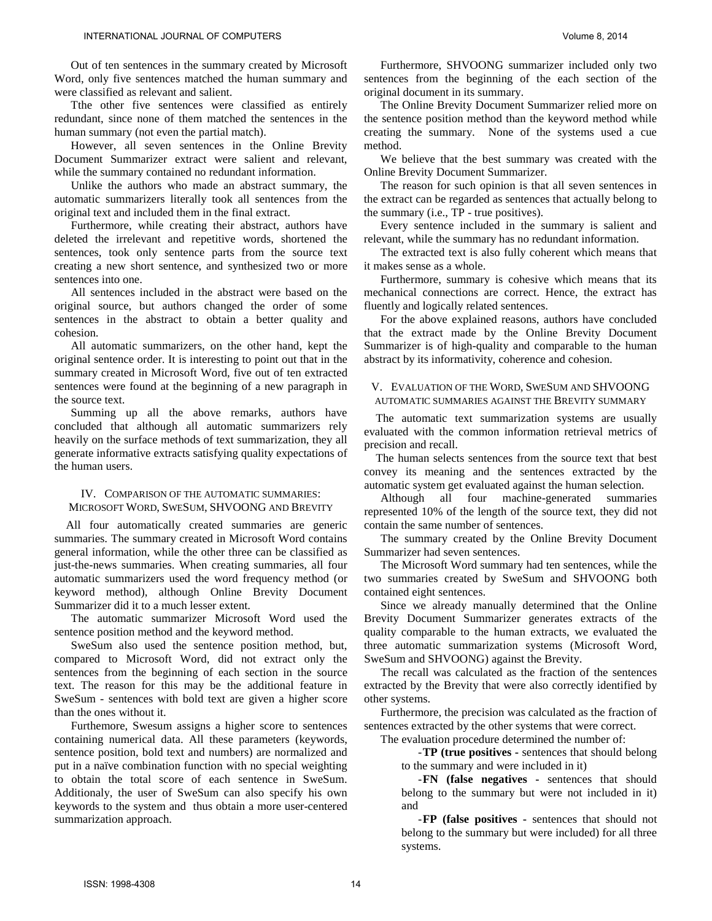Out of ten sentences in the summary created by Microsoft Word, only five sentences matched the human summary and were classified as relevant and salient.

Tthe other five sentences were classified as entirely redundant, since none of them matched the sentences in the human summary (not even the partial match).

However, all seven sentences in the Online Brevity Document Summarizer extract were salient and relevant, while the summary contained no redundant information.

Unlike the authors who made an abstract summary, the automatic summarizers literally took all sentences from the original text and included them in the final extract.

Furthermore, while creating their abstract, authors have deleted the irrelevant and repetitive words, shortened the sentences, took only sentence parts from the source text creating a new short sentence, and synthesized two or more sentences into one.

All sentences included in the abstract were based on the original source, but authors changed the order of some sentences in the abstract to obtain a better quality and cohesion.

All automatic summarizers, on the other hand, kept the original sentence order. It is interesting to point out that in the summary created in Microsoft Word, five out of ten extracted sentences were found at the beginning of a new paragraph in the source text.

Summing up all the above remarks, authors have concluded that although all automatic summarizers rely heavily on the surface methods of text summarization, they all generate informative extracts satisfying quality expectations of the human users.

## IV. COMPARISON OF THE AUTOMATIC SUMMARIES: MICROSOFT WORD, SWESUM, SHVOONG AND BREVITY

All four automatically created summaries are generic summaries. The summary created in Microsoft Word contains general information, while the other three can be classified as just-the-news summaries. When creating summaries, all four automatic summarizers used the word frequency method (or keyword method), although Online Brevity Document Summarizer did it to a much lesser extent.

The automatic summarizer Microsoft Word used the sentence position method and the keyword method.

SweSum also used the sentence position method, but, compared to Microsoft Word, did not extract only the sentences from the beginning of each section in the source text. The reason for this may be the additional feature in SweSum - sentences with bold text are given a higher score than the ones without it.

Furthemore, Swesum assigns a higher score to sentences containing numerical data. All these parameters (keywords, sentence position, bold text and numbers) are normalized and put in a naïve combination function with no special weighting to obtain the total score of each sentence in SweSum. Additionaly, the user of SweSum can also specify his own keywords to the system and thus obtain a more user-centered summarization approach.

Furthermore, SHVOONG summarizer included only two sentences from the beginning of the each section of the original document in its summary.

The Online Brevity Document Summarizer relied more on the sentence position method than the keyword method while creating the summary. None of the systems used a cue method.

We believe that the best summary was created with the Online Brevity Document Summarizer.

The reason for such opinion is that all seven sentences in the extract can be regarded as sentences that actually belong to the summary (i.e., TP - true positives).

Every sentence included in the summary is salient and relevant, while the summary has no redundant information.

The extracted text is also fully coherent which means that it makes sense as a whole.

Furthermore, summary is cohesive which means that its mechanical connections are correct. Hence, the extract has fluently and logically related sentences.

For the above explained reasons, authors have concluded that the extract made by the Online Brevity Document Summarizer is of high-quality and comparable to the human abstract by its informativity, coherence and cohesion.

V. EVALUATION OF THE WORD, SWESUM AND SHVOONG AUTOMATIC SUMMARIES AGAINST THE BREVITY SUMMARY

The automatic text summarization systems are usually evaluated with the common information retrieval metrics of precision and recall.

The human selects sentences from the source text that best convey its meaning and the sentences extracted by the automatic system get evaluated against the human selection.

Although all four machine-generated summaries represented 10% of the length of the source text, they did not contain the same number of sentences.

The summary created by the Online Brevity Document Summarizer had seven sentences.

The Microsoft Word summary had ten sentences, while the two summaries created by SweSum and SHVOONG both contained eight sentences.

Since we already manually determined that the Online Brevity Document Summarizer generates extracts of the quality comparable to the human extracts, we evaluated the three automatic summarization systems (Microsoft Word, SweSum and SHVOONG) against the Brevity.

The recall was calculated as the fraction of the sentences extracted by the Brevity that were also correctly identified by other systems.

Furthermore, the precision was calculated as the fraction of sentences extracted by the other systems that were correct.

The evaluation procedure determined the number of:

-**TP (true positives -** sentences that should belong to the summary and were included in it)

-**FN (false negatives -** sentences that should belong to the summary but were not included in it) and

-**FP (false positives -** sentences that should not belong to the summary but were included) for all three systems.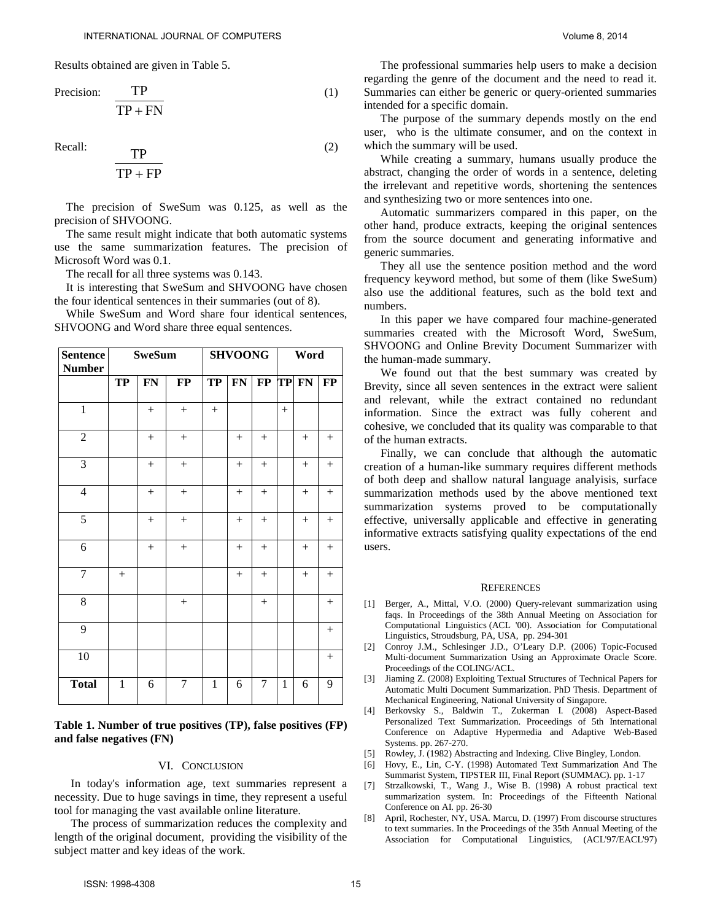Results obtained are given in Table 5.

$$
\text{Precision:} \quad \frac{\text{TP}}{\text{TP} + \text{FN}} \tag{1}
$$

Recall:  $_{\text{TD}}$  (2)

$$
\frac{\text{TP}}{\text{TP} + \text{FP}}
$$

The precision of SweSum was 0.125, as well as the precision of SHVOONG.

The same result might indicate that both automatic systems use the same summarization features. The precision of Microsoft Word was 0.1.

The recall for all three systems was 0.143.

It is interesting that SweSum and SHVOONG have chosen the four identical sentences in their summaries (out of 8).

While SweSum and Word share four identical sentences, SHVOONG and Word share three equal sentences.

| <b>Sentence</b><br><b>Number</b> | <b>SweSum</b> |        |                  | <b>SHVOONG</b> |        |                | Word         |        |          |
|----------------------------------|---------------|--------|------------------|----------------|--------|----------------|--------------|--------|----------|
|                                  | <b>TP</b>     | FN     | $\bf FP$         | <b>TP</b>      | FN     | $\bf FP$       | TP           | FN     | $\bf FP$ |
| $\overline{1}$                   |               | $+$    | $+$              | $^{+}$         |        |                | $+$          |        |          |
| $\overline{2}$                   |               | $^{+}$ | $+$              |                | $^{+}$ | $^{+}$         |              | $^{+}$ | $^{+}$   |
| $\mathfrak{Z}$                   |               | $+$    | $+$              |                | $+$    | $+$            |              | $+$    | $+$      |
| $\overline{4}$                   |               | $+$    | $+$              |                | $^{+}$ | $^{+}$         |              | $^{+}$ | $^{+}$   |
| $\sqrt{5}$                       |               | $^{+}$ | $+$              |                | $^{+}$ | $+$            |              | $+$    | $^{+}$   |
| 6                                |               | $^{+}$ | $+$              |                | $^{+}$ | $^{+}$         |              |        | $+$      |
| $\overline{7}$                   | $^{+}$        |        |                  |                | $^{+}$ | $^{+}$         |              | $^{+}$ | $^{+}$   |
| 8                                |               |        |                  |                |        | $+$            |              |        | $+$      |
| 9                                |               |        |                  |                |        |                |              |        | $^{+}$   |
| 10                               |               |        |                  |                |        |                |              |        | $^{+}$   |
| <b>Total</b>                     | $\mathbf{1}$  | 6      | $\boldsymbol{7}$ | $\mathbf{1}$   | 6      | $\overline{7}$ | $\mathbf{1}$ | 6      | 9        |

## **Table 1. Number of true positives (TP), false positives (FP) and false negatives (FN)**

## VI. CONCLUSION

In today's information age, text summaries represent a necessity. Due to huge savings in time, they represent a useful tool for managing the vast available online literature.

The process of summarization reduces the complexity and length of the original document, providing the visibility of the subject matter and key ideas of the work.

The professional summaries help users to make a decision regarding the genre of the document and the need to read it. Summaries can either be generic or query-oriented summaries intended for a specific domain.

The purpose of the summary depends mostly on the end user, who is the ultimate consumer, and on the context in which the summary will be used.

While creating a summary, humans usually produce the abstract, changing the order of words in a sentence, deleting the irrelevant and repetitive words, shortening the sentences and synthesizing two or more sentences into one.

Automatic summarizers compared in this paper, on the other hand, produce extracts, keeping the original sentences from the source document and generating informative and generic summaries.

They all use the sentence position method and the word frequency keyword method, but some of them (like SweSum) also use the additional features, such as the bold text and numbers.

In this paper we have compared four machine-generated summaries created with the Microsoft Word, SweSum, SHVOONG and Online Brevity Document Summarizer with the human-made summary.

We found out that the best summary was created by Brevity, since all seven sentences in the extract were salient and relevant, while the extract contained no redundant information. Since the extract was fully coherent and cohesive, we concluded that its quality was comparable to that of the human extracts.

Finally, we can conclude that although the automatic creation of a human-like summary requires different methods of both deep and shallow natural language analyisis, surface summarization methods used by the above mentioned text summarization systems proved to be computationally effective, universally applicable and effective in generating informative extracts satisfying quality expectations of the end users.

#### **REFERENCES**

- [1] Berger, A., Mittal, V.O. (2000) Query-relevant summarization using faqs. In Proceedings of the 38th Annual Meeting on Association for Computational Linguistics (ACL '00). Association for Computational Linguistics, Stroudsburg, PA, USA, pp. 294-301
- [2] Conroy J.M., Schlesinger J.D., O'Leary D.P. (2006) Topic-Focused Multi-document Summarization Using an Approximate Oracle Score. Proceedings of the COLING/ACL.
- [3] Jiaming Z. (2008) Exploiting Textual Structures of Technical Papers for Automatic Multi Document Summarization. PhD Thesis. Department of Mechanical Engineering, National University of Singapore.
- [4] Berkovsky S., Baldwin T., Zukerman I. (2008) Aspect-Based Personalized Text Summarization. Proceedings of 5th International Conference on Adaptive Hypermedia and Adaptive Web-Based Systems. pp. 267-270.
- [5] Rowley, J. (1982) Abstracting and Indexing. Clive Bingley, London.
- [6] Hovy, E., Lin, C-Y. (1998) Automated Text Summarization And The Summarist System, TIPSTER III, Final Report (SUMMAC). pp. 1-17
- [7] Strzalkowski, T., Wang J., Wise B. (1998) A robust practical text summarization system. In: Proceedings of the Fifteenth National Conference on AI. pp. 26-30
- [8] April, Rochester, NY, USA. Marcu, D. (1997) From discourse structures to text summaries. In the Proceedings of the 35th Annual Meeting of the Association for Computational Linguistics, (ACL'97/EACL'97)